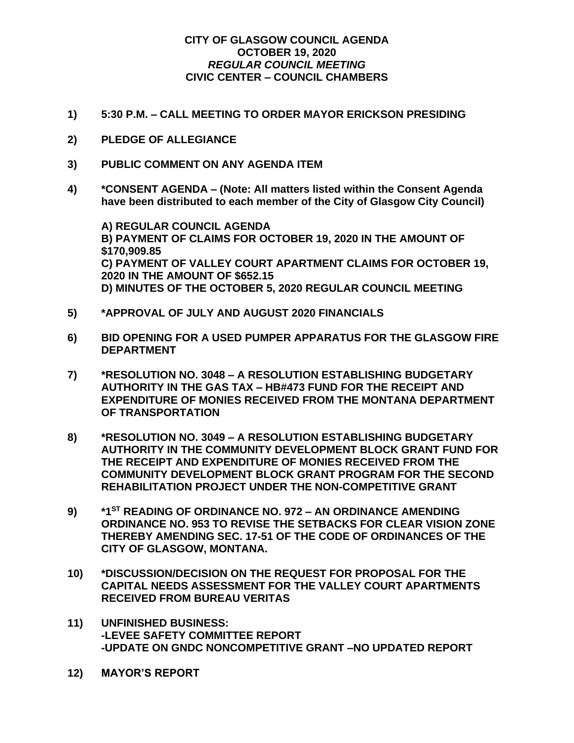## **CITY OF GLASGOW COUNCIL AGENDA OCTOBER 19, 2020** *REGULAR COUNCIL MEETING* **CIVIC CENTER – COUNCIL CHAMBERS**

- **1) 5:30 P.M. – CALL MEETING TO ORDER MAYOR ERICKSON PRESIDING**
- **2) PLEDGE OF ALLEGIANCE**
- **3) PUBLIC COMMENT ON ANY AGENDA ITEM**
- **4) \*CONSENT AGENDA – (Note: All matters listed within the Consent Agenda have been distributed to each member of the City of Glasgow City Council)**

**A) REGULAR COUNCIL AGENDA B) PAYMENT OF CLAIMS FOR OCTOBER 19, 2020 IN THE AMOUNT OF \$170,909.85 C) PAYMENT OF VALLEY COURT APARTMENT CLAIMS FOR OCTOBER 19, 2020 IN THE AMOUNT OF \$652.15 D) MINUTES OF THE OCTOBER 5, 2020 REGULAR COUNCIL MEETING**

- **5) \*APPROVAL OF JULY AND AUGUST 2020 FINANCIALS**
- **6) BID OPENING FOR A USED PUMPER APPARATUS FOR THE GLASGOW FIRE DEPARTMENT**
- **7) \*RESOLUTION NO. 3048 – A RESOLUTION ESTABLISHING BUDGETARY AUTHORITY IN THE GAS TAX – HB#473 FUND FOR THE RECEIPT AND EXPENDITURE OF MONIES RECEIVED FROM THE MONTANA DEPARTMENT OF TRANSPORTATION**
- **8) \*RESOLUTION NO. 3049 – A RESOLUTION ESTABLISHING BUDGETARY AUTHORITY IN THE COMMUNITY DEVELOPMENT BLOCK GRANT FUND FOR THE RECEIPT AND EXPENDITURE OF MONIES RECEIVED FROM THE COMMUNITY DEVELOPMENT BLOCK GRANT PROGRAM FOR THE SECOND REHABILITATION PROJECT UNDER THE NON-COMPETITIVE GRANT**
- **9) \*1ST READING OF ORDINANCE NO. 972 – AN ORDINANCE AMENDING ORDINANCE NO. 953 TO REVISE THE SETBACKS FOR CLEAR VISION ZONE THEREBY AMENDING SEC. 17-51 OF THE CODE OF ORDINANCES OF THE CITY OF GLASGOW, MONTANA.**
- **10) \*DISCUSSION/DECISION ON THE REQUEST FOR PROPOSAL FOR THE CAPITAL NEEDS ASSESSMENT FOR THE VALLEY COURT APARTMENTS RECEIVED FROM BUREAU VERITAS**
- **11) UNFINISHED BUSINESS: -LEVEE SAFETY COMMITTEE REPORT -UPDATE ON GNDC NONCOMPETITIVE GRANT –NO UPDATED REPORT**
- **12) MAYOR'S REPORT**